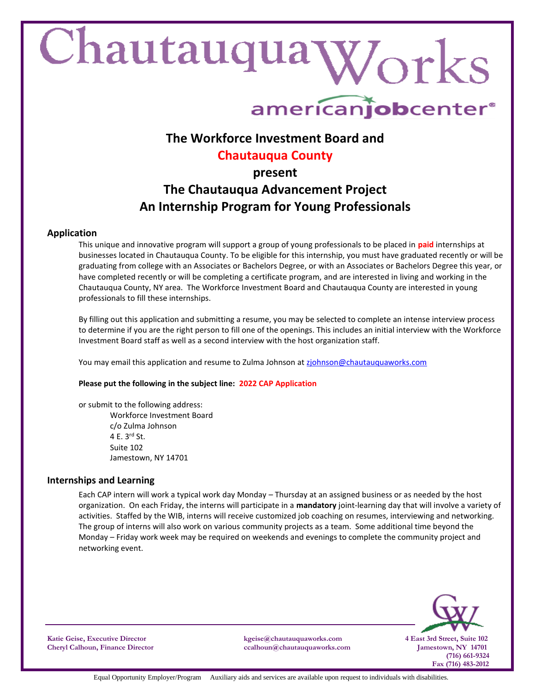# Chautauqua Works

# americanjobcenter<sup>®</sup>

## **The Workforce Investment Board and**

### **Chautauqua County**

#### **present**

# **The Chautauqua Advancement Project An Internship Program for Young Professionals**

#### **Application**

This unique and innovative program will support a group of young professionals to be placed in **paid** internships at businesses located in Chautauqua County. To be eligible for this internship, you must have graduated recently or will be graduating from college with an Associates or Bachelors Degree, or with an Associates or Bachelors Degree this year, or have completed recently or will be completing a certificate program, and are interested in living and working in the Chautauqua County, NY area. The Workforce Investment Board and Chautauqua County are interested in young professionals to fill these internships.

By filling out this application and submitting a resume, you may be selected to complete an intense interview process to determine if you are the right person to fill one of the openings. This includes an initial interview with the Workforce Investment Board staff as well as a second interview with the host organization staff.

You may email this application and resume to Zulma Johnson at [zjohnson@chautauquaworks.com](mailto:zjohnson@chautauquaworks.com)

#### **Please put the following in the subject line: 2022 CAP Application**

or submit to the following address: Workforce Investment Board c/o Zulma Johnson 4 E. 3rd St. Suite 102 Jamestown, NY 14701

#### **Internships and Learning**

Each CAP intern will work a typical work day Monday – Thursday at an assigned business or as needed by the host organization. On each Friday, the interns will participate in a **mandatory** joint-learning day that will involve a variety of activities. Staffed by the WIB, interns will receive customized job coaching on resumes, interviewing and networking. The group of interns will also work on various community projects as a team. Some additional time beyond the Monday – Friday work week may be required on weekends and evenings to complete the community project and networking event.



**Katie Geise, Executive Director kgeise@chautauquaworks.com 4 East 3rd Street, Suite 102**

**Cheryl Calhoun, Finance Director ccalhoun@chautauquaworks.com Jamestown, NY 14701**